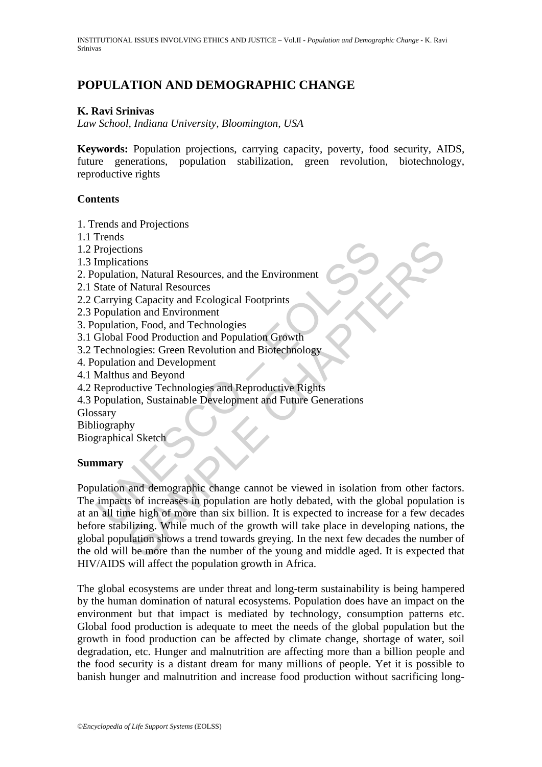# **POPULATION AND DEMOGRAPHIC CHANGE**

#### **K. Ravi Srinivas**

*Law School, Indiana University, Bloomington, USA* 

**Keywords:** Population projections, carrying capacity, poverty, food security, AIDS, future generations, population stabilization, green revolution, biotechnology, reproductive rights

#### **Contents**

1. Trends and Projections

- 1.1 Trends
- 1.2 Projections
- 1.3 Implications
- 2. Population, Natural Resources, and the Environment
- 2.1 State of Natural Resources
- 2.2 Carrying Capacity and Ecological Footprints
- 2.3 Population and Environment
- 3. Population, Food, and Technologies
- 3.1 Global Food Production and Population Growth
- 3.2 Technologies: Green Revolution and Biotechnology
- 4. Population and Development
- 4.1 Malthus and Beyond
- 4.2 Reproductive Technologies and Reproductive Rights
- 4.3 Population, Sustainable Development and Future Generations
- **Glossary**
- Bibliography
- Biographical Sketch

#### **Summary**

Frojections<br>
Projections<br>
Implications<br>
State of Natural Resources, and the Environment<br>
State of Natural Resources<br>
Carrying Capacity and Ecological Footprints<br>
Population and Environment<br>
opulation, Food, and Technologie ions<br>
In Natural Resources, and the Environment<br>
In Natural Resources<br>
In Natural Resources<br>
In Starval Ecological Footprints<br>
In and Environment<br>
In Starval Ecological Footprints<br>
In Starval Ecologies<br>
In Starval Developm Population and demographic change cannot be viewed in isolation from other factors. The impacts of increases in population are hotly debated, with the global population is at an all time high of more than six billion. It is expected to increase for a few decades before stabilizing. While much of the growth will take place in developing nations, the global population shows a trend towards greying. In the next few decades the number of the old will be more than the number of the young and middle aged. It is expected that HIV/AIDS will affect the population growth in Africa.

The global ecosystems are under threat and long-term sustainability is being hampered by the human domination of natural ecosystems. Population does have an impact on the environment but that impact is mediated by technology, consumption patterns etc. Global food production is adequate to meet the needs of the global population but the growth in food production can be affected by climate change, shortage of water, soil degradation, etc. Hunger and malnutrition are affecting more than a billion people and the food security is a distant dream for many millions of people. Yet it is possible to banish hunger and malnutrition and increase food production without sacrificing long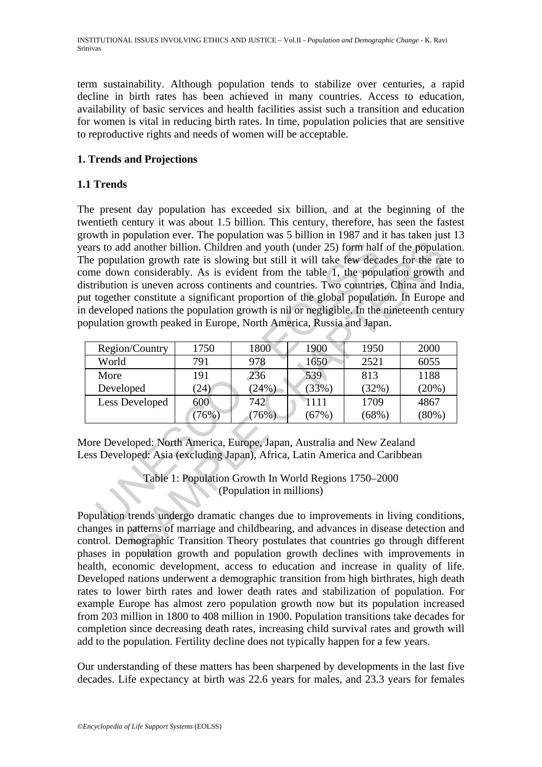term sustainability. Although population tends to stabilize over centuries, a rapid decline in birth rates has been achieved in many countries. Access to education, availability of basic services and health facilities assist such a transition and education for women is vital in reducing birth rates. In time, population policies that are sensitive to reproductive rights and needs of women will be acceptable.

### **1. Trends and Projections**

#### **1.1 Trends**

s to add another billion. Children and youth (under 25) form half<br>population growth rate is slowing but still it will take few decade<br>e down considerably. As is evident from the table 1, the population is uneven across co d another billion. Children and youth (under 25) form half of the population growth rate is slowing but still it will take few decades for the rat considerably. As is evident from the table 1, the population growth rate i The present day population has exceeded six billion, and at the beginning of the twentieth century it was about 1.5 billion. This century, therefore, has seen the fastest growth in population ever. The population was 5 billion in 1987 and it has taken just 13 years to add another billion. Children and youth (under 25) form half of the population. The population growth rate is slowing but still it will take few decades for the rate to come down considerably. As is evident from the table 1, the population growth and distribution is uneven across continents and countries. Two countries, China and India, put together constitute a significant proportion of the global population. In Europe and in developed nations the population growth is nil or negligible. In the nineteenth century population growth peaked in Europe, North America, Russia and Japan.

| Region/Country | 1750  | 1800    | 1900  | 1950     | 2000     |
|----------------|-------|---------|-------|----------|----------|
| World          | 791   | 978     | 1650  | 2521     | 6055     |
| More           | 191   | 236     | 539   | 813      | 1188     |
| Developed      | (24)  | (24%)   | (33%) | (32%)    | $(20\%)$ |
| Less Developed | 600   | 742     | 1111  | 1709     | 4867     |
|                | (76%) | $76\%)$ | (67%) | $(68\%)$ | (80%)    |

More Developed: North America, Europe, Japan, Australia and New Zealand Less Developed: Asia (excluding Japan), Africa, Latin America and Caribbean

> Table 1: Population Growth In World Regions 1750–2000 (Population in millions)

Population trends undergo dramatic changes due to improvements in living conditions, changes in patterns of marriage and childbearing, and advances in disease detection and control. Demographic Transition Theory postulates that countries go through different phases in population growth and population growth declines with improvements in health, economic development, access to education and increase in quality of life. Developed nations underwent a demographic transition from high birthrates, high death rates to lower birth rates and lower death rates and stabilization of population. For example Europe has almost zero population growth now but its population increased from 203 million in 1800 to 408 million in 1900. Population transitions take decades for completion since decreasing death rates, increasing child survival rates and growth will add to the population. Fertility decline does not typically happen for a few years.

Our understanding of these matters has been sharpened by developments in the last five decades. Life expectancy at birth was 22.6 years for males, and 23.3 years for females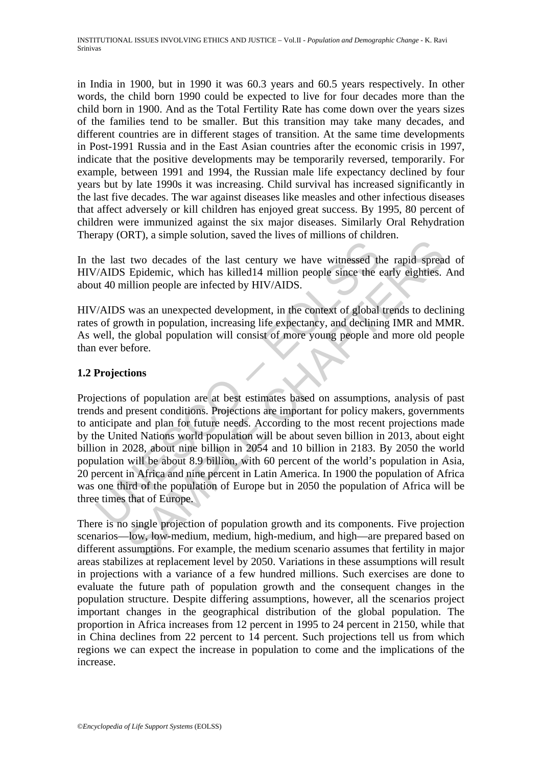in India in 1900, but in 1990 it was 60.3 years and 60.5 years respectively. In other words, the child born 1990 could be expected to live for four decades more than the child born in 1900. And as the Total Fertility Rate has come down over the years sizes of the families tend to be smaller. But this transition may take many decades, and different countries are in different stages of transition. At the same time developments in Post-1991 Russia and in the East Asian countries after the economic crisis in 1997, indicate that the positive developments may be temporarily reversed, temporarily. For example, between 1991 and 1994, the Russian male life expectancy declined by four years but by late 1990s it was increasing. Child survival has increased significantly in the last five decades. The war against diseases like measles and other infectious diseases that affect adversely or kill children has enjoyed great success. By 1995, 80 percent of children were immunized against the six major diseases. Similarly Oral Rehydration Therapy (ORT), a simple solution, saved the lives of millions of children.

In the last two decades of the last century we have witnessed the rapid spread of HIV/AIDS Epidemic, which has killed14 million people since the early eighties. And about 40 million people are infected by HIV/AIDS.

HIV/AIDS was an unexpected development, in the context of global trends to declining rates of growth in population, increasing life expectancy, and declining IMR and MMR. As well, the global population will consist of more young people and more old people than ever before.

#### **1.2 Projections**

The last two decades of the last century we have witnessed the last two decades of the last century we have witnessed the at 40 million people are infected by HIV/AIDS.<br>
The at 40 million people are infected by HIV/AIDS.<br> The proper statement of the last century we have statements are anti-<br>two decades of the last century we have witnessed the rapid spread<br>Epidemic, which has killed 14 million people since the early eightlies.<br>illion people Projections of population are at best estimates based on assumptions, analysis of past trends and present conditions. Projections are important for policy makers, governments to anticipate and plan for future needs. According to the most recent projections made by the United Nations world population will be about seven billion in 2013, about eight billion in 2028, about nine billion in 2054 and 10 billion in 2183. By 2050 the world population will be about 8.9 billion, with 60 percent of the world's population in Asia, 20 percent in Africa and nine percent in Latin America. In 1900 the population of Africa was one third of the population of Europe but in 2050 the population of Africa will be three times that of Europe.

There is no single projection of population growth and its components. Five projection scenarios—low, low-medium, medium, high-medium, and high—are prepared based on different assumptions. For example, the medium scenario assumes that fertility in major areas stabilizes at replacement level by 2050. Variations in these assumptions will result in projections with a variance of a few hundred millions. Such exercises are done to evaluate the future path of population growth and the consequent changes in the population structure. Despite differing assumptions, however, all the scenarios project important changes in the geographical distribution of the global population. The proportion in Africa increases from 12 percent in 1995 to 24 percent in 2150, while that in China declines from 22 percent to 14 percent. Such projections tell us from which regions we can expect the increase in population to come and the implications of the increase.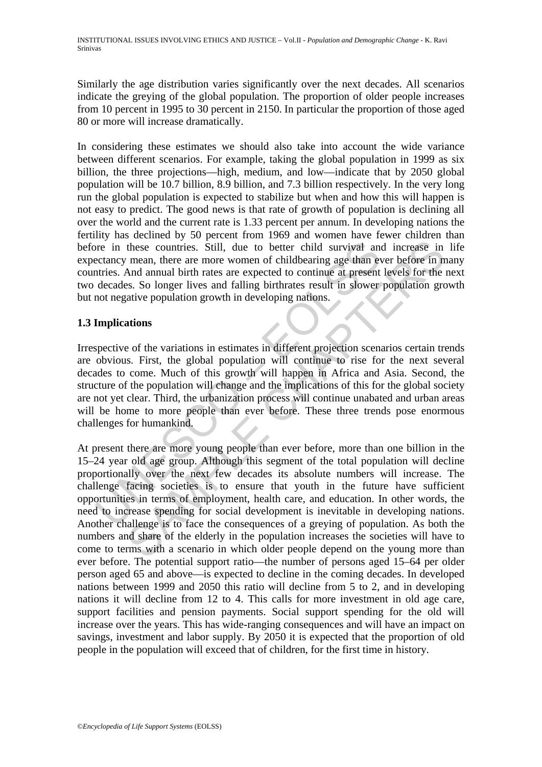Similarly the age distribution varies significantly over the next decades. All scenarios indicate the greying of the global population. The proportion of older people increases from 10 percent in 1995 to 30 percent in 2150. In particular the proportion of those aged 80 or more will increase dramatically.

In considering these estimates we should also take into account the wide variance between different scenarios. For example, taking the global population in 1999 as six billion, the three projections—high, medium, and low—indicate that by 2050 global population will be 10.7 billion, 8.9 billion, and 7.3 billion respectively. In the very long run the global population is expected to stabilize but when and how this will happen is not easy to predict. The good news is that rate of growth of population is declining all over the world and the current rate is 1.33 percent per annum. In developing nations the fertility has declined by 50 percent from 1969 and women have fewer children than before in these countries. Still, due to better child survival and increase in life expectancy mean, there are more women of childbearing age than ever before in many countries. And annual birth rates are expected to continue at present levels for the next two decades. So longer lives and falling birthrates result in slower population growth but not negative population growth in developing nations.

## **1.3 Implications**

The in these countries. Still, due to better child survival ane<br>ectancy mean, there are more women of childbearing age than extries. And annual birth rates are expected to continue at present<br>decades. So longer lives and f Irrespective of the variations in estimates in different projection scenarios certain trends are obvious. First, the global population will continue to rise for the next several decades to come. Much of this growth will happen in Africa and Asia. Second, the structure of the population will change and the implications of this for the global society are not yet clear. Third, the urbanization process will continue unabated and urban areas will be home to more people than ever before. These three trends pose enormous challenges for humankind.

these countries. Still, due to better child survival and increase in<br>mean, there are more women of childbearing age than ever before in n<br>And annual birth rates are expected to continue at present levels for the<br>As as So l At present there are more young people than ever before, more than one billion in the 15–24 year old age group. Although this segment of the total population will decline proportionally over the next few decades its absolute numbers will increase. The challenge facing societies is to ensure that youth in the future have sufficient opportunities in terms of employment, health care, and education. In other words, the need to increase spending for social development is inevitable in developing nations. Another challenge is to face the consequences of a greying of population. As both the numbers and share of the elderly in the population increases the societies will have to come to terms with a scenario in which older people depend on the young more than ever before. The potential support ratio—the number of persons aged 15–64 per older person aged 65 and above—is expected to decline in the coming decades. In developed nations between 1999 and 2050 this ratio will decline from 5 to 2, and in developing nations it will decline from 12 to 4. This calls for more investment in old age care, support facilities and pension payments. Social support spending for the old will increase over the years. This has wide-ranging consequences and will have an impact on savings, investment and labor supply. By 2050 it is expected that the proportion of old people in the population will exceed that of children, for the first time in history.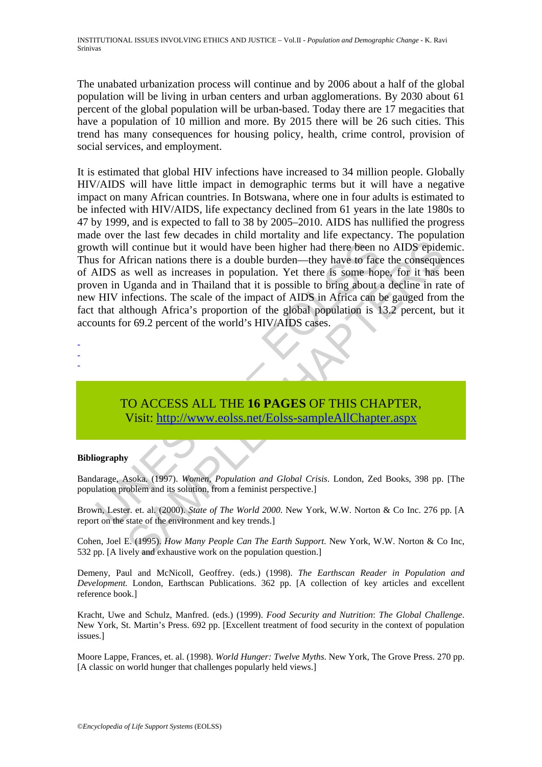The unabated urbanization process will continue and by 2006 about a half of the global population will be living in urban centers and urban agglomerations. By 2030 about 61 percent of the global population will be urban-based. Today there are 17 megacities that have a population of 10 million and more. By 2015 there will be 26 such cities. This trend has many consequences for housing policy, health, crime control, provision of social services, and employment.

with will continue but it would have been higher had there been r<br>s for African nations there is a double burden—they have to face<br>AIDS as well as increases in population. Yet there is some hop<br>ten in Uganda and in Thailan I continue but it would have been higher had there been no AIDS epide<br>frican nations there is a double burden—they have to face the conseque<br>s well as increases in population. Yet there is none hope, for it has<br>Uganda and It is estimated that global HIV infections have increased to 34 million people. Globally HIV/AIDS will have little impact in demographic terms but it will have a negative impact on many African countries. In Botswana, where one in four adults is estimated to be infected with HIV/AIDS, life expectancy declined from 61 years in the late 1980s to 47 by 1999, and is expected to fall to 38 by 2005–2010. AIDS has nullified the progress made over the last few decades in child mortality and life expectancy. The population growth will continue but it would have been higher had there been no AIDS epidemic. Thus for African nations there is a double burden—they have to face the consequences of AIDS as well as increases in population. Yet there is some hope, for it has been proven in Uganda and in Thailand that it is possible to bring about a decline in rate of new HIV infections. The scale of the impact of AIDS in Africa can be gauged from the fact that although Africa's proportion of the global population is 13.2 percent, but it accounts for 69.2 percent of the world's HIV/AIDS cases.

- -
- -

## TO ACCESS ALL THE **16 PAGES** OF THIS CHAPTER, Visit: http://www.eolss.net/Eolss-sampleAllChapter.aspx

#### **Bibliography**

Bandarage, Asoka. (1997). *Women, Population and Global Crisis*. London, Zed Books, 398 pp. [The population problem and its solution, from a feminist perspective.]

Brown, Lester. et. al. (2000). *State of The World 2000*. New York, W.W. Norton & Co Inc. 276 pp. [A report on the state of the environment and key trends.]

Cohen, Joel E. (1995). *How Many People Can The Earth Support*. New York, W.W. Norton & Co Inc, 532 pp. [A lively and exhaustive work on the population question.]

Demeny, Paul and McNicoll, Geoffrey. (eds.) (1998). *The Earthscan Reader in Population and Development.* London, Earthscan Publications. 362 pp. [A collection of key articles and excellent reference book.]

Kracht, Uwe and Schulz, Manfred. (eds.) (1999). *Food Security and Nutrition*: *The Global Challenge*. New York, St. Martin's Press. 692 pp. [Excellent treatment of food security in the context of population issues.]

Moore Lappe, Frances, et. al. (1998). *World Hunger: Twelve Myths*. New York, The Grove Press. 270 pp. [A classic on world hunger that challenges popularly held views.]